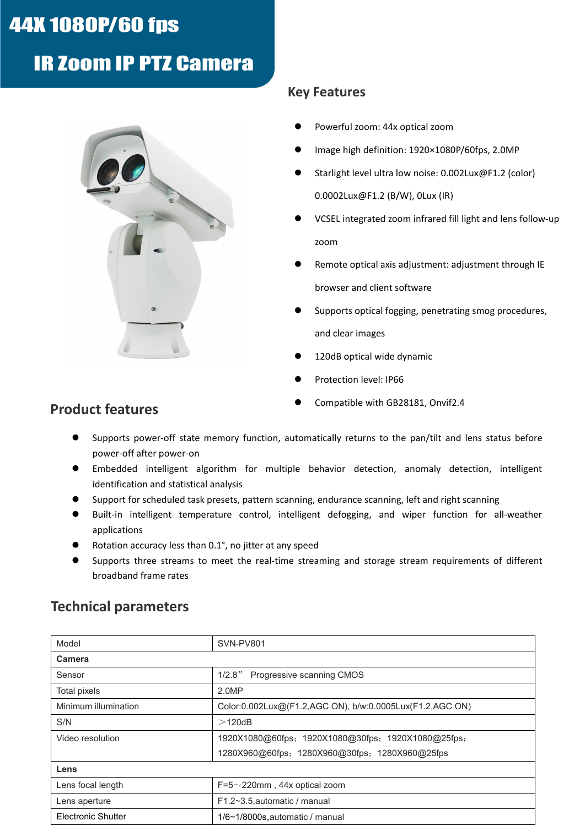# 44X 1080P/60 fps

# **IR Zoom IP PTZ Camera**



## **Key Features**

- Powerful zoom: 44x optical zoom
- Image high definition: 1920×1080P/60fps, 2.0MP
- Starlight level ultra low noise: 0.002Lux@F1.2 (color) 0.0002Lux@F1.2 (B/W), 0Lux (IR)
- VCSEL integrated zoom infrared fill light and lens follow-up zoom
- Remote optical axis adjustment: adjustment through IE browser and client software
- Supports optical fogging, penetrating smog procedures, and clear images
- 120dB optical wide dynamic
- Protection level: IP66
- Compatible with GB28181, Onvif2.4

## **Product features**

- Supports power-off state memory function, automatically returns to the pan/tilt and lens status before power-off after power-on
- Embedded intelligent algorithm for multiple behavior detection, anomaly detection, intelligent identification and statistical analysis
- Support for scheduled task presets, pattern scanning, endurance scanning, left and right scanning
- **•** Built-in intelligent temperature control, intelligent defogging, and wiper function for all-weather applications
- Rotation accuracy less than 0.1°, no jitter at any speed
- Supports three streams to meet the real-time streaming and storage stream requirements of different broadband frame rates

| Model                | SVN-PV801                                                |  |
|----------------------|----------------------------------------------------------|--|
| Camera               |                                                          |  |
| Sensor               | Progressive scanning CMOS<br>$1/2.8$ "                   |  |
| Total pixels         | 2.0MP                                                    |  |
| Minimum illumination | Color:0.002Lux@(F1.2,AGC ON), b/w:0.0005Lux(F1.2,AGC ON) |  |
| S/N                  | $>$ 120dB                                                |  |
| Video resolution     | 1920X1080@60fps; 1920X1080@30fps; 1920X1080@25fps;       |  |
|                      | 1280X960@60fps; 1280X960@30fps; 1280X960@25fps           |  |
| Lens                 |                                                          |  |
| Lens focal length    | $F=5 \sim 220$ mm, 44x optical zoom                      |  |
| Lens aperture        | F1.2~3.5, automatic / manual                             |  |
| Electronic Shutter   | 1/6~1/8000s, automatic / manual                          |  |

# **Technical parameters**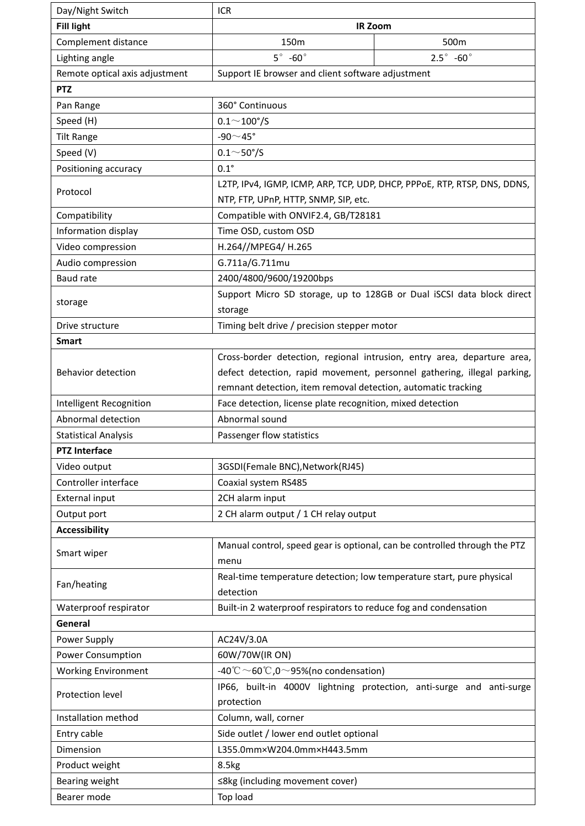| Day/Night Switch               | <b>ICR</b>                                                                         |                                                                           |  |
|--------------------------------|------------------------------------------------------------------------------------|---------------------------------------------------------------------------|--|
| <b>Fill light</b>              |                                                                                    | <b>IR Zoom</b>                                                            |  |
| Complement distance            | 150m                                                                               | 500m                                                                      |  |
| Lighting angle                 | $5^\circ$ -60 $^\circ$                                                             | $2.5^{\circ}$ -60 $^{\circ}$                                              |  |
| Remote optical axis adjustment | Support IE browser and client software adjustment                                  |                                                                           |  |
| <b>PTZ</b>                     |                                                                                    |                                                                           |  |
| Pan Range                      | 360° Continuous                                                                    |                                                                           |  |
| Speed (H)                      | $0.1 \sim 100^{\circ}/S$                                                           |                                                                           |  |
| <b>Tilt Range</b>              | -90 $\sim$ 45°                                                                     |                                                                           |  |
| Speed (V)                      | $0.1^{\sim}50^{\circ}/S$                                                           |                                                                           |  |
| Positioning accuracy           | $0.1^\circ$                                                                        |                                                                           |  |
| Protocol                       | L2TP, IPv4, IGMP, ICMP, ARP, TCP, UDP, DHCP, PPPoE, RTP, RTSP, DNS, DDNS,          |                                                                           |  |
|                                | NTP, FTP, UPnP, HTTP, SNMP, SIP, etc.                                              |                                                                           |  |
| Compatibility                  | Compatible with ONVIF2.4, GB/T28181                                                |                                                                           |  |
| Information display            | Time OSD, custom OSD                                                               |                                                                           |  |
| Video compression              | H.264//MPEG4/ H.265                                                                |                                                                           |  |
| Audio compression              | G.711a/G.711mu                                                                     |                                                                           |  |
| Baud rate                      | 2400/4800/9600/19200bps                                                            |                                                                           |  |
|                                | Support Micro SD storage, up to 128GB or Dual iSCSI data block direct              |                                                                           |  |
| storage                        | storage                                                                            |                                                                           |  |
| Drive structure                | Timing belt drive / precision stepper motor                                        |                                                                           |  |
| <b>Smart</b>                   |                                                                                    |                                                                           |  |
|                                | Cross-border detection, regional intrusion, entry area, departure area,            |                                                                           |  |
| <b>Behavior detection</b>      | defect detection, rapid movement, personnel gathering, illegal parking,            |                                                                           |  |
|                                | remnant detection, item removal detection, automatic tracking                      |                                                                           |  |
| Intelligent Recognition        | Face detection, license plate recognition, mixed detection                         |                                                                           |  |
| Abnormal detection             | Abnormal sound                                                                     |                                                                           |  |
| <b>Statistical Analysis</b>    | Passenger flow statistics                                                          |                                                                           |  |
| <b>PTZ Interface</b>           |                                                                                    |                                                                           |  |
| Video output                   | 3GSDI(Female BNC), Network(RJ45)                                                   |                                                                           |  |
| Controller interface           | Coaxial system RS485                                                               |                                                                           |  |
| <b>External input</b>          | 2CH alarm input                                                                    |                                                                           |  |
| Output port                    | 2 CH alarm output / 1 CH relay output                                              |                                                                           |  |
| <b>Accessibility</b>           |                                                                                    |                                                                           |  |
| Smart wiper                    |                                                                                    | Manual control, speed gear is optional, can be controlled through the PTZ |  |
|                                | menu                                                                               |                                                                           |  |
| Fan/heating                    | Real-time temperature detection; low temperature start, pure physical<br>detection |                                                                           |  |
| Waterproof respirator          | Built-in 2 waterproof respirators to reduce fog and condensation                   |                                                                           |  |
| General                        |                                                                                    |                                                                           |  |
| Power Supply                   | AC24V/3.0A                                                                         |                                                                           |  |
| Power Consumption              | 60W/70W(IR ON)                                                                     |                                                                           |  |
| <b>Working Environment</b>     | -40°C ~60°C,0~95%(no condensation)                                                 |                                                                           |  |
|                                |                                                                                    | IP66, built-in 4000V lightning protection, anti-surge and anti-surge      |  |
| Protection level               | protection                                                                         |                                                                           |  |
| Installation method            | Column, wall, corner                                                               |                                                                           |  |
| Entry cable                    | Side outlet / lower end outlet optional                                            |                                                                           |  |
| Dimension                      | L355.0mm×W204.0mm×H443.5mm                                                         |                                                                           |  |
| Product weight                 | 8.5kg                                                                              |                                                                           |  |
| Bearing weight                 | ≤8kg (including movement cover)                                                    |                                                                           |  |
| Bearer mode                    | Top load                                                                           |                                                                           |  |
|                                |                                                                                    |                                                                           |  |